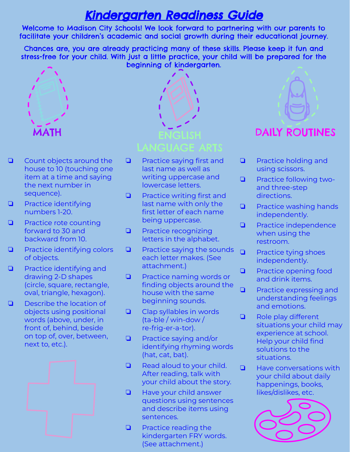## Kindergarten Readiness Guide

Welcome to Madison City Schools! We look forward to partnering with our parents to facilitate your children's academic and social growth during their educational journey.

Chances are, you are already practicing many of these skills. Please keep it fun and stress-free for your child. With just a little practice, your child will be prepared for the beginning of kindergarten.



- ❏ Count objects around the house to 10 (touching one item at a time and saying the next number in sequence).
- ❏ Practice identifying numbers 1-20.
- ❏ Practice rote counting forward to 30 and backward from 10.
- ❏ Practice identifying colors of objects.
- ❏ Practice identifying and drawing 2-D shapes (circle, square, rectangle, oval, triangle, hexagon).
- ❏ Describe the location of objects using positional words (above, under, in front of, behind, beside on top of, over, between, next to, etc.).





- ❏ Practice saying first and last name as well as writing uppercase and lowercase letters.
- ❏ Practice writing first and last name with only the first letter of each name being uppercase.
- ❏ Practice recognizing letters in the alphabet.
- ❏ Practice saying the sounds each letter makes. (See attachment.)
- ❏ Practice naming words or finding objects around the house with the same beginning sounds.
- ❏ Clap syllables in words (ta-ble / win-dow / re-frig-er-a-tor).
- ❏ Practice saying and/or identifying rhyming words (hat, cat, bat).
- ❏ Read aloud to your child. After reading, talk with your child about the story.
- ❏ Have your child answer questions using sentences and describe items using sentences.
- ❏ Practice reading the kindergarten FRY words. (See attachment.)



- ❏ Practice holding and using scissors.
- ❏ Practice following twoand three-step directions.
- ❏ Practice washing hands independently.
- ❏ Practice independence when using the restroom.
- ❏ Practice tying shoes independently.
- ❏ Practice opening food and drink items.
- ❏ Practice expressing and understanding feelings and emotions.
- ❏ Role play different situations your child may experience at school. Help your child find solutions to the situations.
- ❏ Have conversations with your child about daily happenings, books, likes/dislikes, etc.

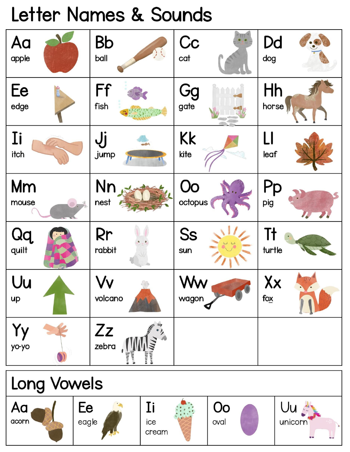## Letter Names & Sounds

| Aa          | <b>Bb</b>   | Cc            | Dd                                   |
|-------------|-------------|---------------|--------------------------------------|
| apple       | ball        | cat           | dog                                  |
| Ee          | Ff          | Gg            | Hh                                   |
| edge        | fish        | gate          | horse                                |
| Ii          | Jj          | Kk            | LI                                   |
| itch        | jump        | kite          | leaf                                 |
| Mm<br>mouse | Nn<br>nest  | Oo<br>octopus | Pp<br>pig<br>$\mathcal{L}_{\bullet}$ |
| Qq          | Rr          | <b>Ss</b>     | Tł                                   |
| quilt       | rabbit      | sun           | turtle                               |
| Uu          | Vv          | Ww            | Xx                                   |
| up          | volcano     | wagon         | $f_{O\underline{X}}$                 |
| уо-уо       | Zz<br>zebra |               |                                      |